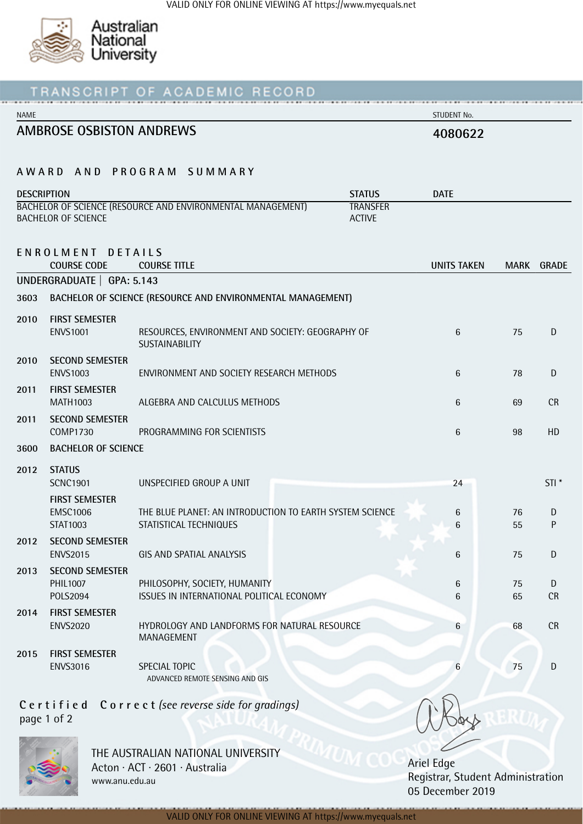

| RECORD                                                                         |                                           |                                                                                    |               |                    |             |                  |  |
|--------------------------------------------------------------------------------|-------------------------------------------|------------------------------------------------------------------------------------|---------------|--------------------|-------------|------------------|--|
| <b>NAME</b>                                                                    |                                           |                                                                                    |               | STUDENT No.        |             |                  |  |
| <b>AMBROSE OSBISTON ANDREWS</b>                                                |                                           |                                                                                    | 4080622       |                    |             |                  |  |
|                                                                                |                                           | AWARD AND PROGRAM SUMMARY                                                          |               |                    |             |                  |  |
| <b>DESCRIPTION</b>                                                             |                                           |                                                                                    | <b>STATUS</b> | <b>DATE</b>        |             |                  |  |
| BACHELOR OF SCIENCE (RESOURCE AND ENVIRONMENTAL MANAGEMENT)<br><b>TRANSFER</b> |                                           |                                                                                    |               |                    |             |                  |  |
|                                                                                | <b>BACHELOR OF SCIENCE</b>                |                                                                                    | <b>ACTIVE</b> |                    |             |                  |  |
|                                                                                | ENROLMENT DETAILS                         |                                                                                    |               |                    |             |                  |  |
|                                                                                | <b>COURSE CODE</b>                        | <b>COURSE TITLE</b>                                                                |               | <b>UNITS TAKEN</b> | <b>MARK</b> | <b>GRADE</b>     |  |
|                                                                                | UNDERGRADUATE   GPA: 5.143                |                                                                                    |               |                    |             |                  |  |
| 3603                                                                           |                                           | BACHELOR OF SCIENCE (RESOURCE AND ENVIRONMENTAL MANAGEMENT)                        |               |                    |             |                  |  |
| 2010                                                                           | <b>FIRST SEMESTER</b><br><b>ENVS1001</b>  | RESOURCES, ENVIRONMENT AND SOCIETY: GEOGRAPHY OF<br>SUSTAINABILITY                 |               | 6                  | 75          | D                |  |
| 2010                                                                           | <b>SECOND SEMESTER</b><br><b>ENVS1003</b> | ENVIRONMENT AND SOCIETY RESEARCH METHODS                                           | 6             | 78                 | D           |                  |  |
| 2011                                                                           | <b>FIRST SEMESTER</b><br><b>MATH1003</b>  | ALGEBRA AND CALCULUS METHODS                                                       | 6             | 69                 | <b>CR</b>   |                  |  |
| 2011                                                                           | <b>SECOND SEMESTER</b><br><b>COMP1730</b> | PROGRAMMING FOR SCIENTISTS                                                         | 6             | 98                 | HD          |                  |  |
| 3600                                                                           | <b>BACHELOR OF SCIENCE</b>                |                                                                                    |               |                    |             |                  |  |
| 2012                                                                           | <b>STATUS</b>                             |                                                                                    |               |                    |             |                  |  |
|                                                                                | <b>SCNC1901</b>                           | UNSPECIFIED GROUP A UNIT                                                           |               | 24                 |             | STI <sup>*</sup> |  |
|                                                                                | <b>FIRST SEMESTER</b>                     |                                                                                    |               |                    |             |                  |  |
|                                                                                | <b>EMSC1006</b><br>STAT1003               | THE BLUE PLANET: AN INTRODUCTION TO EARTH SYSTEM SCIENCE<br>STATISTICAL TECHNIQUES |               | 6<br>6             | 76<br>55    | D<br>P           |  |
| 2012                                                                           | <b>SECOND SEMESTER</b>                    |                                                                                    |               |                    |             |                  |  |
|                                                                                | <b>ENVS2015</b>                           | GIS AND SPATIAL ANALYSIS                                                           |               | 6                  | 75          | D                |  |
| 2013                                                                           | <b>SECOND SEMESTER</b>                    |                                                                                    |               |                    |             |                  |  |
|                                                                                | PHIL1007                                  | PHILOSOPHY, SOCIETY, HUMANITY                                                      |               | $6\phantom{.}6$    | 75          | D                |  |
|                                                                                | POLS2094                                  | ISSUES IN INTERNATIONAL POLITICAL ECONOMY                                          |               | 6                  | 65          | <b>CR</b>        |  |
| 2014                                                                           | <b>FIRST SEMESTER</b><br><b>ENVS2020</b>  | HYDROLOGY AND LANDFORMS FOR NATURAL RESOURCE<br>MANAGEMENT                         |               | 6                  | 68          | CR               |  |
| 2015                                                                           | <b>FIRST SEMESTER</b>                     |                                                                                    |               |                    |             |                  |  |
|                                                                                | <b>ENVS3016</b>                           | SPECIAL TOPIC<br>ADVANCED REMOTE SENSING AND GIS                                   |               | 6                  | 75          | D                |  |
| Certified Correct (see reverse side for gradings)                              |                                           |                                                                                    |               |                    |             |                  |  |

page 1 of 2



THE AUSTRALIAN NATIONAL UNIVERSITY Acton · ACT · 2601 · Australia www.anu.edu.au

Ariel Edge Registrar, Student Administration 05 December 2019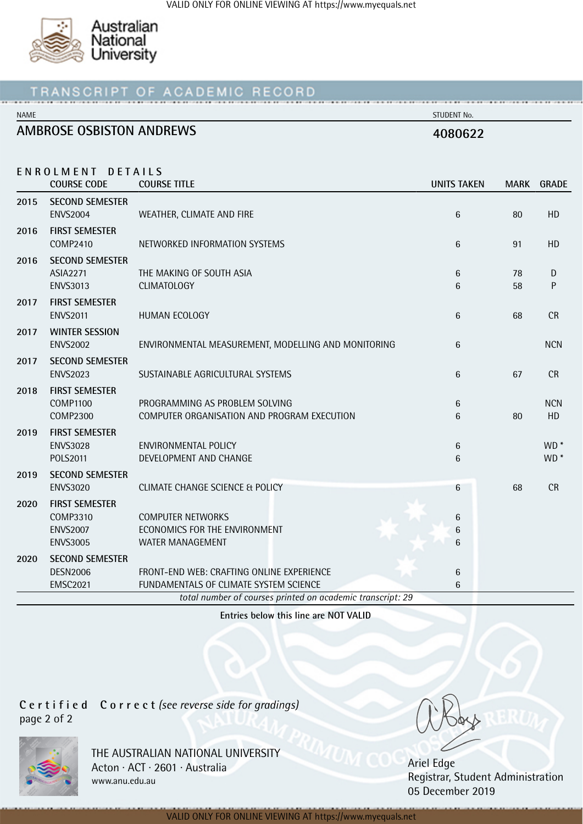

#### OF ACADEMIC RECORD RIPT. T F

NAME STUDENT No.

# **AMBROSE OSBISTON ANDREWS 4080622**

|      | ENROLMENT DETAILS<br><b>COURSE CODE</b> | <b>COURSE TITLE</b>                                        | <b>UNITS TAKEN</b> |    | MARK GRADE      |
|------|-----------------------------------------|------------------------------------------------------------|--------------------|----|-----------------|
| 2015 | <b>SECOND SEMESTER</b>                  |                                                            |                    |    |                 |
|      | <b>ENVS2004</b>                         | WEATHER, CLIMATE AND FIRE                                  | 6                  | 80 | HD              |
| 2016 | <b>FIRST SEMESTER</b>                   |                                                            |                    |    |                 |
|      | <b>COMP2410</b>                         | NETWORKED INFORMATION SYSTEMS                              | 6                  | 91 | HD              |
| 2016 | <b>SECOND SEMESTER</b>                  |                                                            |                    |    |                 |
|      | <b>ASIA2271</b>                         | THE MAKING OF SOUTH ASIA                                   | 6                  | 78 | D               |
|      | <b>ENVS3013</b>                         | <b>CLIMATOLOGY</b>                                         | 6                  | 58 | ${\sf P}$       |
| 2017 | <b>FIRST SEMESTER</b>                   |                                                            |                    |    |                 |
|      | <b>ENVS2011</b>                         | HUMAN ECOLOGY                                              | 6                  | 68 | <b>CR</b>       |
| 2017 | <b>WINTER SESSION</b>                   |                                                            |                    |    |                 |
|      | <b>ENVS2002</b>                         | ENVIRONMENTAL MEASUREMENT, MODELLING AND MONITORING        | 6                  |    | <b>NCN</b>      |
| 2017 | <b>SECOND SEMESTER</b>                  |                                                            |                    |    |                 |
|      | <b>ENVS2023</b>                         | SUSTAINABLE AGRICULTURAL SYSTEMS                           | 6                  | 67 | <b>CR</b>       |
| 2018 | <b>FIRST SEMESTER</b>                   |                                                            |                    |    |                 |
|      | <b>COMP1100</b>                         | PROGRAMMING AS PROBLEM SOLVING                             | 6                  |    | <b>NCN</b>      |
|      | <b>COMP2300</b>                         | COMPUTER ORGANISATION AND PROGRAM EXECUTION                | 6                  | 80 | HD              |
| 2019 | <b>FIRST SEMESTER</b>                   |                                                            |                    |    |                 |
|      | <b>ENVS3028</b>                         | <b>ENVIRONMENTAL POLICY</b>                                | 6                  |    | WD <sup>*</sup> |
|      | POLS2011                                | DEVELOPMENT AND CHANGE                                     | 6                  |    | WD <sup>*</sup> |
| 2019 | <b>SECOND SEMESTER</b>                  |                                                            |                    |    |                 |
|      | <b>ENVS3020</b>                         | CLIMATE CHANGE SCIENCE & POLICY                            | 6                  | 68 | CR              |
| 2020 | <b>FIRST SEMESTER</b>                   |                                                            |                    |    |                 |
|      | <b>COMP3310</b>                         | <b>COMPUTER NETWORKS</b>                                   | 6                  |    |                 |
|      | <b>ENVS2007</b>                         | ECONOMICS FOR THE ENVIRONMENT                              | 6                  |    |                 |
|      | <b>ENVS3005</b>                         | <b>WATER MANAGEMENT</b>                                    | 6                  |    |                 |
| 2020 | <b>SECOND SEMESTER</b>                  |                                                            |                    |    |                 |
|      | <b>DESN2006</b>                         | FRONT-END WEB: CRAFTING ONLINE EXPERIENCE                  | 6                  |    |                 |
|      | <b>EMSC2021</b>                         | FUNDAMENTALS OF CLIMATE SYSTEM SCIENCE                     | 6                  |    |                 |
|      |                                         | total number of courses printed on academic transcript: 29 |                    |    |                 |

**Entries below this line are NOT VALID**

**C e r t i f i e d C o r r e c t** *(see reverse side for gradings)* page 2 of 2



THE AUSTRALIAN NATIONAL UNIVERSITY Acton · ACT · 2601 · Australia www.anu.edu.au

Ariel Edge Registrar, Student Administration 05 December 2019